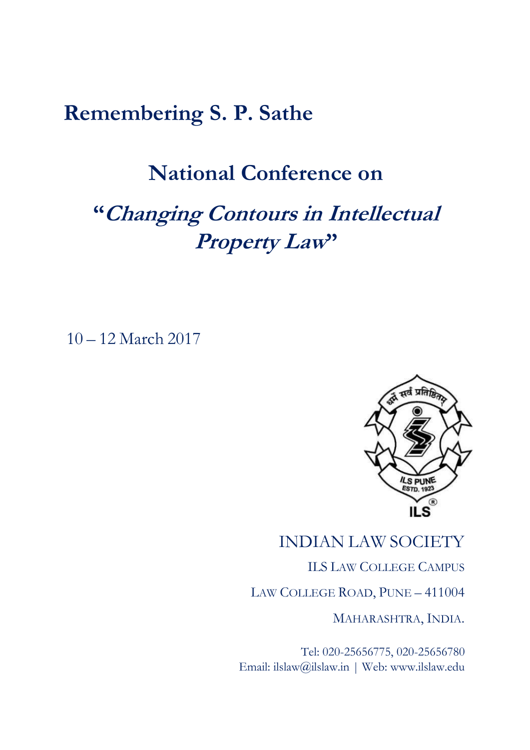## **Remembering S. P. Sathe**

## **National Conference on**

# **"Changing Contours in Intellectual Property Law"**

10 – 12 March 2017



## INDIAN LAW SOCIETY

ILS LAW COLLEGE CAMPUS

LAW COLLEGE ROAD, PUNE – 411004

MAHARASHTRA, INDIA.

Tel: 020-25656775, 020-25656780 Email: ilslaw@ilslaw.in | Web: www.ilslaw.edu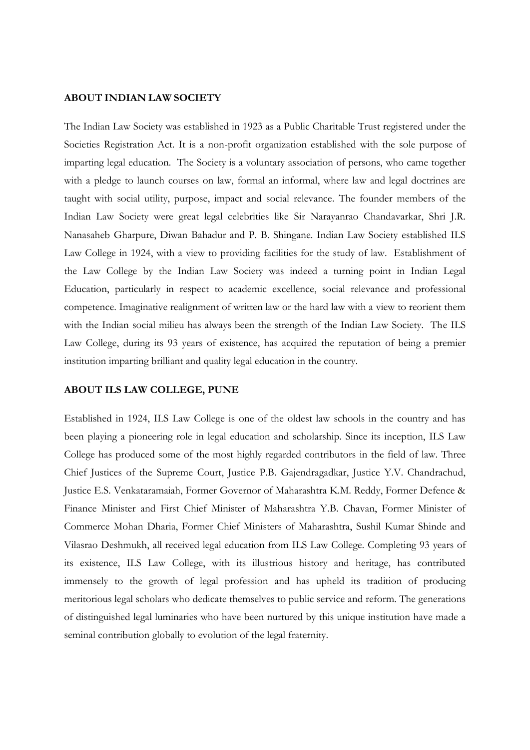### **ABOUT INDIAN LAW SOCIETY**

The Indian Law Society was established in 1923 as a Public Charitable Trust registered under the Societies Registration Act. It is a non-profit organization established with the sole purpose of imparting legal education. The Society is a voluntary association of persons, who came together with a pledge to launch courses on law, formal an informal, where law and legal doctrines are taught with social utility, purpose, impact and social relevance. The founder members of the Indian Law Society were great legal celebrities like Sir Narayanrao Chandavarkar, Shri J.R. Nanasaheb Gharpure, Diwan Bahadur and P. B. Shingane. Indian Law Society established ILS Law College in 1924, with a view to providing facilities for the study of law. Establishment of the Law College by the Indian Law Society was indeed a turning point in Indian Legal Education, particularly in respect to academic excellence, social relevance and professional competence. Imaginative realignment of written law or the hard law with a view to reorient them with the Indian social milieu has always been the strength of the Indian Law Society. The ILS Law College, during its 93 years of existence, has acquired the reputation of being a premier institution imparting brilliant and quality legal education in the country.

### **ABOUT ILS LAW COLLEGE, PUNE**

Established in 1924, ILS Law College is one of the oldest law schools in the country and has been playing a pioneering role in legal education and scholarship. Since its inception, ILS Law College has produced some of the most highly regarded contributors in the field of law. Three Chief Justices of the Supreme Court, Justice P.B. Gajendragadkar, Justice Y.V. Chandrachud, Justice E.S. Venkataramaiah, Former Governor of Maharashtra K.M. Reddy, Former Defence & Finance Minister and First Chief Minister of Maharashtra Y.B. Chavan, Former Minister of Commerce Mohan Dharia, Former Chief Ministers of Maharashtra, Sushil Kumar Shinde and Vilasrao Deshmukh, all received legal education from ILS Law College. Completing 93 years of its existence, ILS Law College, with its illustrious history and heritage, has contributed immensely to the growth of legal profession and has upheld its tradition of producing meritorious legal scholars who dedicate themselves to public service and reform. The generations of distinguished legal luminaries who have been nurtured by this unique institution have made a seminal contribution globally to evolution of the legal fraternity.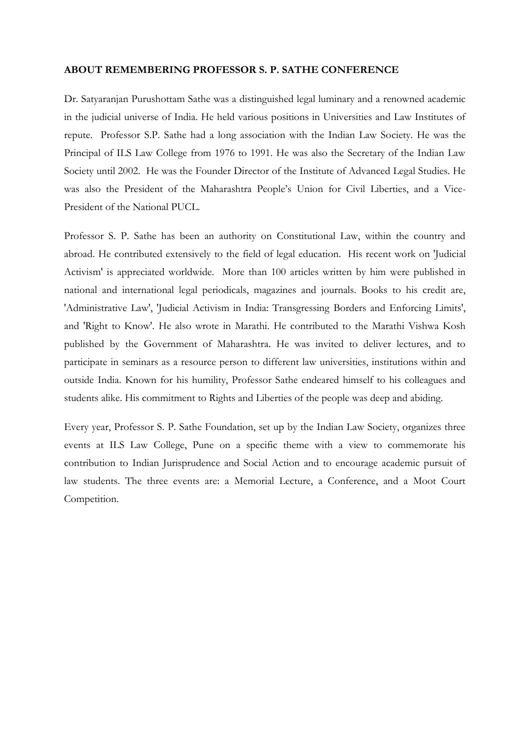#### **ABOUT REMEMBERING PROFESSOR S. P. SATHE CONFERENCE**

Dr. Satyaranjan Purushottam Sathe was a distinguished legal luminary and a renowned academic in the judicial universe of India. He held various positions in Universities and Law Institutes of repute. Professor S.P. Sathe had a long association with the Indian Law Society. He was the Principal of ILS Law College from 1976 to 1991. He was also the Secretary of the Indian Law Society until 2002. He was the Founder Director of the Institute of Advanced Legal Studies. He was also the President of the Maharashtra People's Union for Civil Liberties, and a Vice-President of the National PUCL.

Professor S. P. Sathe has been an authority on Constitutional Law, within the country and abroad. He contributed extensively to the field of legal education. His recent work on 'Judicial Activism' is appreciated worldwide. More than 100 articles written by him were published in national and international legal periodicals, magazines and journals. Books to his credit are, 'Administrative Law', 'Judicial Activism in India: Transgressing Borders and Enforcing Limits', and 'Right to Know'. He also wrote in Marathi. He contributed to the Marathi Vishwa Kosh published by the Government of Maharashtra. He was invited to deliver lectures, and to participate in seminars as a resource person to different law universities, institutions within and outside India. Known for his humility, Professor Sathe endeared himself to his colleagues and students alike. His commitment to Rights and Liberties of the people was deep and abiding.

Every year, Professor S. P. Sathe Foundation, set up by the Indian Law Society, organizes three events at ILS Law College, Pune on a specific theme with a view to commemorate his contribution to Indian Jurisprudence and Social Action and to encourage academic pursuit of law students. The three events are: a Memorial Lecture, a Conference, and a Moot Court Competition.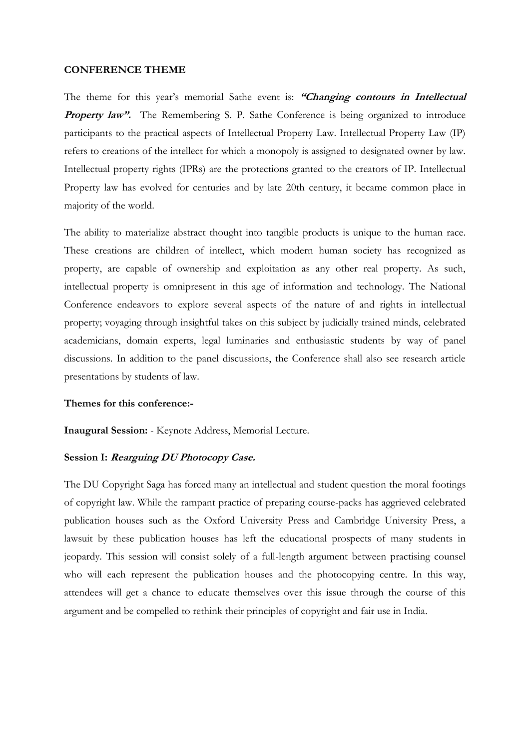#### **CONFERENCE THEME**

The theme for this year's memorial Sathe event is: **"Changing contours in Intellectual Property law".** The Remembering S. P. Sathe Conference is being organized to introduce participants to the practical aspects of Intellectual Property Law. Intellectual Property Law (IP) refers to creations of the intellect for which a monopoly is assigned to designated owner by law. Intellectual property rights (IPRs) are the protections granted to the creators of IP. Intellectual Property law has evolved for centuries and by late 20th century, it became common place in majority of the world.

The ability to materialize abstract thought into tangible products is unique to the human race. These creations are children of intellect, which modern human society has recognized as property, are capable of ownership and exploitation as any other real property. As such, intellectual property is omnipresent in this age of information and technology. The National Conference endeavors to explore several aspects of the nature of and rights in intellectual property; voyaging through insightful takes on this subject by judicially trained minds, celebrated academicians, domain experts, legal luminaries and enthusiastic students by way of panel discussions. In addition to the panel discussions, the Conference shall also see research article presentations by students of law.

### **Themes for this conference:-**

**Inaugural Session:** - Keynote Address, Memorial Lecture.

### **Session I: Rearguing DU Photocopy Case.**

The DU Copyright Saga has forced many an intellectual and student question the moral footings of copyright law. While the rampant practice of preparing course-packs has aggrieved celebrated publication houses such as the Oxford University Press and Cambridge University Press, a lawsuit by these publication houses has left the educational prospects of many students in jeopardy. This session will consist solely of a full-length argument between practising counsel who will each represent the publication houses and the photocopying centre. In this way, attendees will get a chance to educate themselves over this issue through the course of this argument and be compelled to rethink their principles of copyright and fair use in India.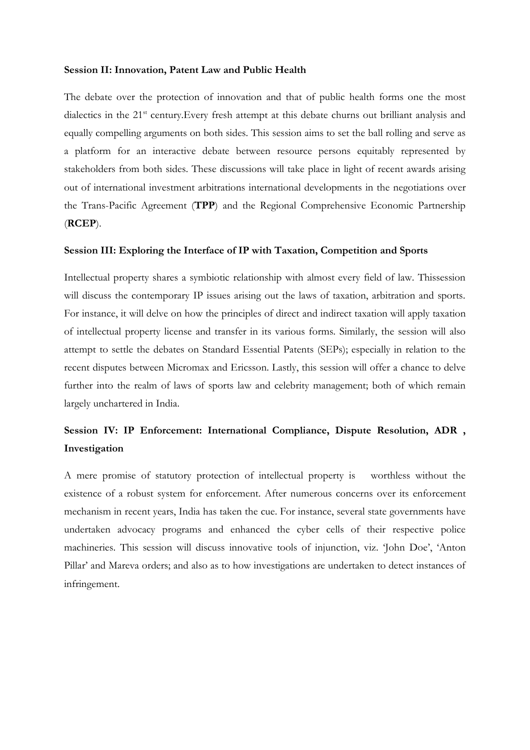#### **Session II: Innovation, Patent Law and Public Health**

The debate over the protection of innovation and that of public health forms one the most dialectics in the 21<sup>st</sup> century. Every fresh attempt at this debate churns out brilliant analysis and equally compelling arguments on both sides. This session aims to set the ball rolling and serve as a platform for an interactive debate between resource persons equitably represented by stakeholders from both sides. These discussions will take place in light of recent awards arising out of international investment arbitrations international developments in the negotiations over the Trans-Pacific Agreement (**TPP**) and the Regional Comprehensive Economic Partnership (**RCEP**).

### **Session III: Exploring the Interface of IP with Taxation, Competition and Sports**

Intellectual property shares a symbiotic relationship with almost every field of law. Thissession will discuss the contemporary IP issues arising out the laws of taxation, arbitration and sports. For instance, it will delve on how the principles of direct and indirect taxation will apply taxation of intellectual property license and transfer in its various forms. Similarly, the session will also attempt to settle the debates on Standard Essential Patents (SEPs); especially in relation to the recent disputes between Micromax and Ericsson. Lastly, this session will offer a chance to delve further into the realm of laws of sports law and celebrity management; both of which remain largely unchartered in India.

### **Session IV: IP Enforcement: International Compliance, Dispute Resolution, ADR , Investigation**

A mere promise of statutory protection of intellectual property is worthless without the existence of a robust system for enforcement. After numerous concerns over its enforcement mechanism in recent years, India has taken the cue. For instance, several state governments have undertaken advocacy programs and enhanced the cyber cells of their respective police machineries. This session will discuss innovative tools of injunction, viz. 'John Doe', 'Anton Pillar' and Mareva orders; and also as to how investigations are undertaken to detect instances of infringement.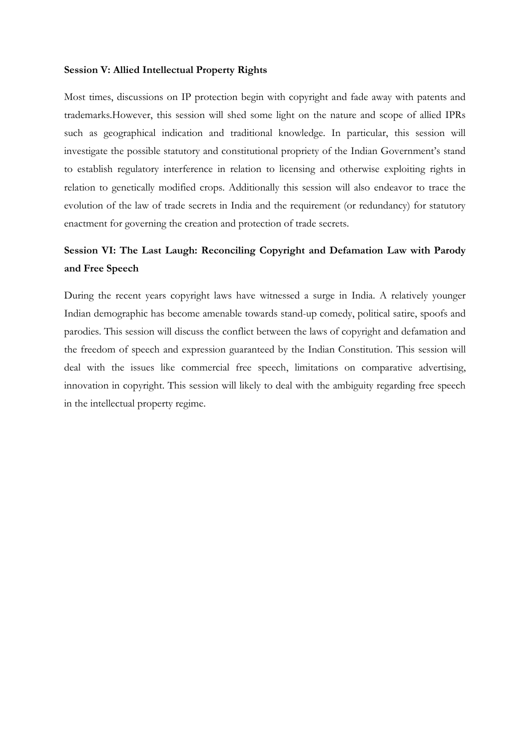### **Session V: Allied Intellectual Property Rights**

Most times, discussions on IP protection begin with copyright and fade away with patents and trademarks.However, this session will shed some light on the nature and scope of allied IPRs such as geographical indication and traditional knowledge. In particular, this session will investigate the possible statutory and constitutional propriety of the Indian Government's stand to establish regulatory interference in relation to licensing and otherwise exploiting rights in relation to genetically modified crops. Additionally this session will also endeavor to trace the evolution of the law of trade secrets in India and the requirement (or redundancy) for statutory enactment for governing the creation and protection of trade secrets.

### **Session VI: The Last Laugh: Reconciling Copyright and Defamation Law with Parody and Free Speech**

During the recent years copyright laws have witnessed a surge in India. A relatively younger Indian demographic has become amenable towards stand-up comedy, political satire, spoofs and parodies. This session will discuss the conflict between the laws of copyright and defamation and the freedom of speech and expression guaranteed by the Indian Constitution. This session will deal with the issues like commercial free speech, limitations on comparative advertising, innovation in copyright. This session will likely to deal with the ambiguity regarding free speech in the intellectual property regime.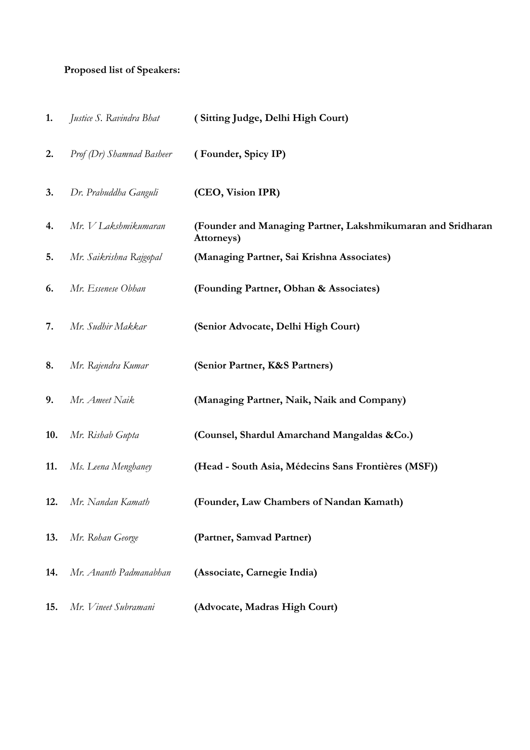### **Proposed list of Speakers:**

| 1.  | Justice S. Ravindra Bhat  | (Sitting Judge, Delhi High Court)                                         |
|-----|---------------------------|---------------------------------------------------------------------------|
| 2.  | Prof (Dr) Shamnad Basheer | (Founder, Spicy IP)                                                       |
| 3.  | Dr. Prabuddha Ganguli     | (CEO, Vision IPR)                                                         |
| 4.  | Mr. V Lakshmikumaran      | (Founder and Managing Partner, Lakshmikumaran and Sridharan<br>Attorneys) |
| 5.  | Mr. Saikrishna Rajgopal   | (Managing Partner, Sai Krishna Associates)                                |
| 6.  | Mr. Essenese Obhan        | (Founding Partner, Obhan & Associates)                                    |
| 7.  | Mr. Sudhir Makkar         | (Senior Advocate, Delhi High Court)                                       |
| 8.  | Mr. Rajendra Kumar        | (Senior Partner, K&S Partners)                                            |
| 9.  | Mr. Ameet Naik            | (Managing Partner, Naik, Naik and Company)                                |
| 10. | Mr. Rishab Gupta          | (Counsel, Shardul Amarchand Mangaldas &Co.)                               |
| 11. | Ms. Leena Menghaney       | (Head - South Asia, Médecins Sans Frontières (MSF))                       |
| 12. | Mr. Nandan Kamath         | (Founder, Law Chambers of Nandan Kamath)                                  |
| 13. | Mr. Rohan George          | (Partner, Samvad Partner)                                                 |
| 14. | Mr. Ananth Padmanabhan    | (Associate, Carnegie India)                                               |
| 15. | Mr. Vineet Subramani      | (Advocate, Madras High Court)                                             |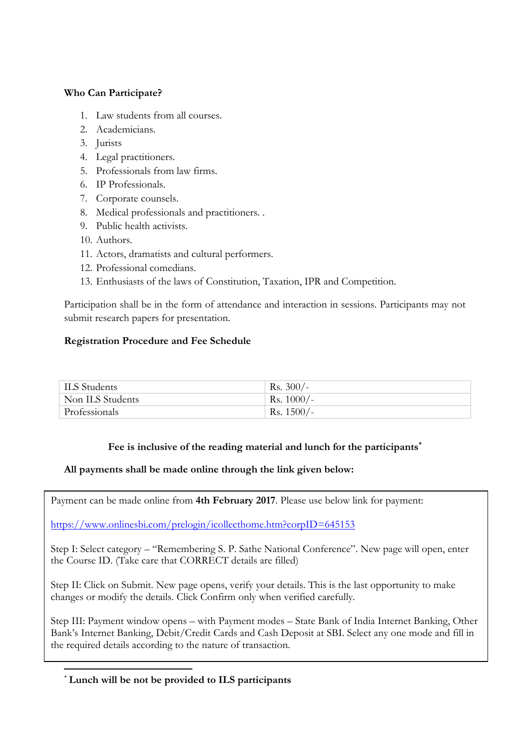### **Who Can Participate?**

- 1. Law students from all courses.
- 2. Academicians.
- 3. Jurists
- 4. Legal practitioners.
- 5. Professionals from law firms.
- 6. IP Professionals.
- 7. Corporate counsels.
- 8. Medical professionals and practitioners. .
- 9. Public health activists.
- 10. Authors.
- 11. Actors, dramatists and cultural performers.
- 12. Professional comedians.
- 13. Enthusiasts of the laws of Constitution, Taxation, IPR and Competition.

Participation shall be in the form of attendance and interaction in sessions. Participants may not submit research papers for presentation.

### **Registration Procedure and Fee Schedule**

| ILS Students     | $\rm{Rs.}$ 300/- |
|------------------|------------------|
| Non ILS Students | Rs. $1000/-$     |
| Professionals    | Rs. $1500/-$     |

### **Fee is inclusive of the reading material and lunch for the participants\***

### **All payments shall be made online through the link given below:**

Payment can be made online from **4th February 2017**. Please use below link for payment:

<https://www.onlinesbi.com/prelogin/icollecthome.htm?corpID=645153>

Step I: Select category – "Remembering S. P. Sathe National Conference". New page will open, enter the Course ID. (Take care that CORRECT details are filled)

Step II: Click on Submit. New page opens, verify your details. This is the last opportunity to make changes or modify the details. Click Confirm only when verified carefully.

Step III: Payment window opens – with Payment modes – State Bank of India Internet Banking, Other Bank's Internet Banking, Debit/Credit Cards and Cash Deposit at SBI. Select any one mode and fill in the required details according to the nature of transaction.

### 1 \* **Lunch will be not be provided to ILS participants**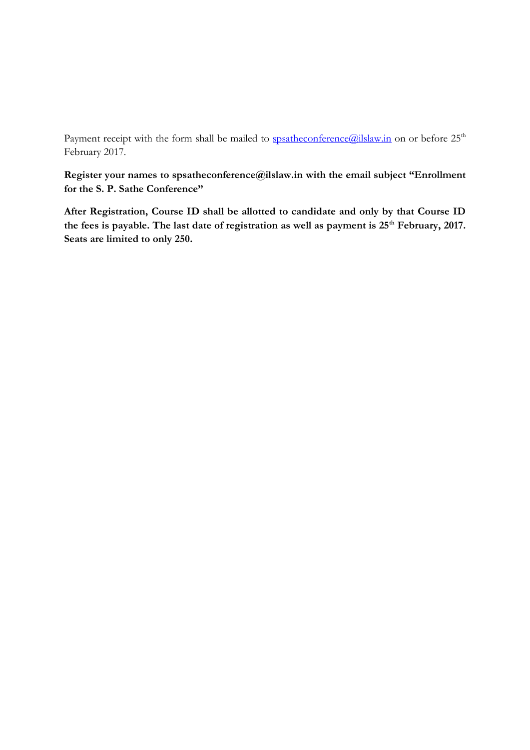Payment receipt with the form shall be mailed to [spsatheconference@ilslaw.in](mailto:spsatheconference@ilslaw.in) on or before 25<sup>th</sup> February 2017.

**Register your names to spsatheconference@ilslaw.in with the email subject "Enrollment for the S. P. Sathe Conference"**

**After Registration, Course ID shall be allotted to candidate and only by that Course ID the fees is payable. The last date of registration as well as payment is 25th February, 2017. Seats are limited to only 250.**